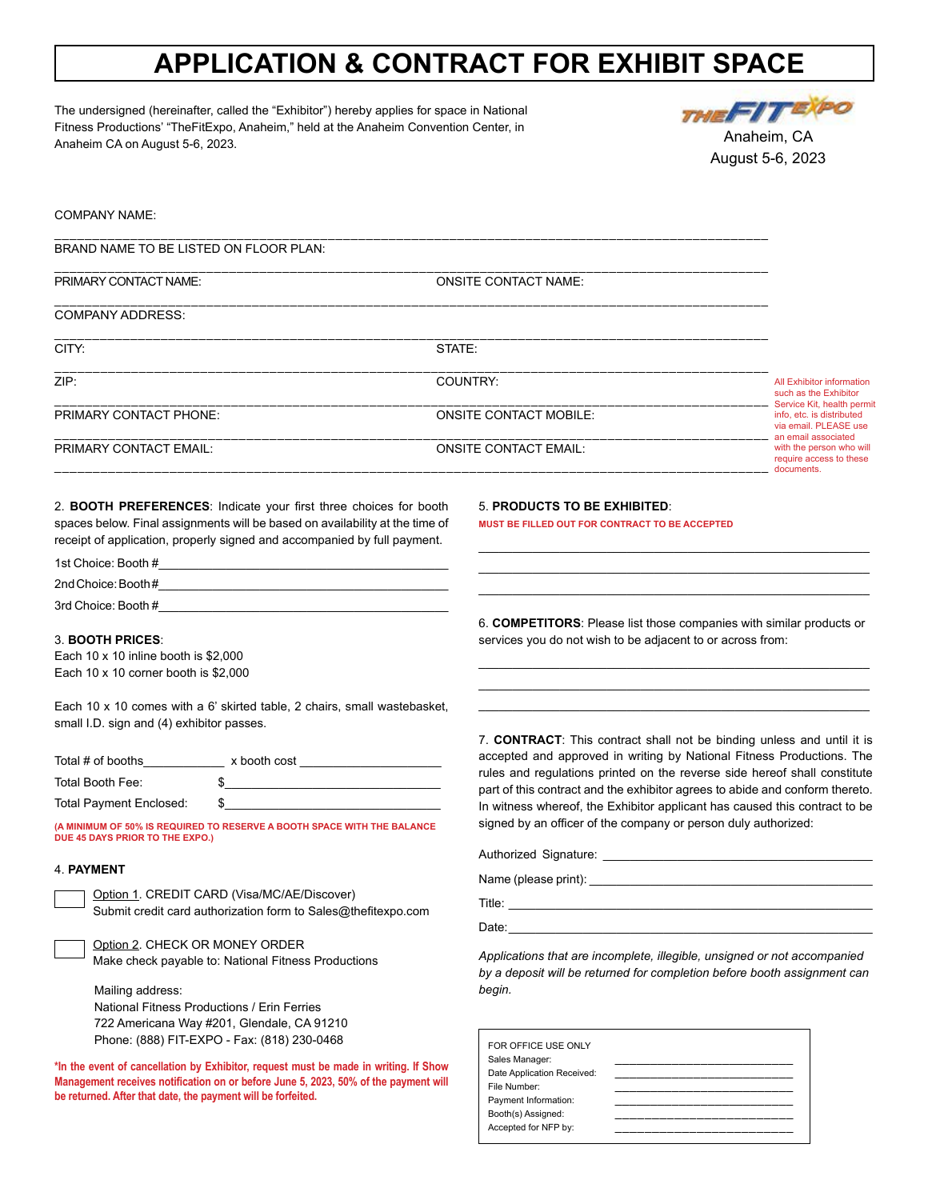## **APPLICATION & CONTRACT FOR EXHIBIT SPACE**

The undersigned (hereinafter, called the "Exhibitor") hereby applies for space in National Fitness Productions' "TheFitExpo, Anaheim," held at the Anaheim Convention Center, in Anaheim CA on August 5-6, 2023.



COMPANY NAME:

| <b>ONSITE CONTACT NAME:</b>   |                                                                                          |  |
|-------------------------------|------------------------------------------------------------------------------------------|--|
|                               |                                                                                          |  |
| STATE:                        |                                                                                          |  |
| COUNTRY:                      | All Exhibitor information<br>such as the Exhibitor                                       |  |
| <b>ONSITE CONTACT MOBILE:</b> | Service Kit, health permit<br>info, etc. is distributed<br>via email. PLEASE use         |  |
| <b>ONSITE CONTACT EMAIL:</b>  | an email associated<br>with the person who will<br>require access to these<br>documents. |  |
|                               |                                                                                          |  |

2. **BOOTH PREFERENCES**: Indicate your first three choices for booth spaces below. Final assignments will be based on availability at the time of receipt of application, properly signed and accompanied by full payment.

| 1st Choice: Booth # |  |
|---------------------|--|
| 2nd Choice: Booth#  |  |
| 3rd Choice: Booth # |  |

## 3. **BOOTH PRICES**:

Each 10 x 10 inline booth is \$2,000 Each 10 x 10 corner booth is \$2,000

Each 10 x 10 comes with a 6' skirted table, 2 chairs, small wastebasket, small I.D. sign and (4) exhibitor passes.

| Total # of booths       | x booth cost |
|-------------------------|--------------|
| Total Booth Fee:        |              |
| Total Payment Enclosed: |              |

**(A MINIMUM OF 50% IS REQUIRED TO RESERVE A BOOTH SPACE WITH THE BALANCE DUE 45 DAYS PRIOR TO THE EXPO.)**

## 4. **PAYMENT**

Option 1. CREDIT CARD (Visa/MC/AE/Discover) Submit credit card authorization form to Sales@thefitexpo.com

Option 2. CHECK OR MONEY ORDER

Make check payable to: National Fitness Productions

Mailing address: National Fitness Productions / Erin Ferries 722 Americana Way #201, Glendale, CA 91210 Phone: (888) FIT-EXPO - Fax: (818) 230-0468

**\*In the event of cancellation by Exhibitor, request must be made in writing. If Show Management receives notification on or before June 5, 2023, 50% of the payment will be returned. After that date, the payment will be forfeited.**

5. **PRODUCTS TO BE EXHIBITED**:

**MUST BE FILLED OUT FOR CONTRACT TO BE ACCEPTED**

6. **COMPETITORS**: Please list those companies with similar products or services you do not wish to be adjacent to or across from:

\_\_\_\_\_\_\_\_\_\_\_\_\_\_\_\_\_\_\_\_\_\_\_\_\_\_\_\_\_\_\_\_\_\_\_\_\_\_\_\_\_\_\_\_\_\_\_\_\_\_\_\_\_\_\_\_\_\_ \_\_\_\_\_\_\_\_\_\_\_\_\_\_\_\_\_\_\_\_\_\_\_\_\_\_\_\_\_\_\_\_\_\_\_\_\_\_\_\_\_\_\_\_\_\_\_\_\_\_\_\_\_\_\_\_\_\_ \_\_\_\_\_\_\_\_\_\_\_\_\_\_\_\_\_\_\_\_\_\_\_\_\_\_\_\_\_\_\_\_\_\_\_\_\_\_\_\_\_\_\_\_\_\_\_\_\_\_\_\_\_\_\_\_\_\_

\_\_\_\_\_\_\_\_\_\_\_\_\_\_\_\_\_\_\_\_\_\_\_\_\_\_\_\_\_\_\_\_\_\_\_\_\_\_\_\_\_\_\_\_\_\_\_\_\_\_\_\_\_\_\_\_\_\_ \_\_\_\_\_\_\_\_\_\_\_\_\_\_\_\_\_\_\_\_\_\_\_\_\_\_\_\_\_\_\_\_\_\_\_\_\_\_\_\_\_\_\_\_\_\_\_\_\_\_\_\_\_\_\_\_\_\_ \_\_\_\_\_\_\_\_\_\_\_\_\_\_\_\_\_\_\_\_\_\_\_\_\_\_\_\_\_\_\_\_\_\_\_\_\_\_\_\_\_\_\_\_\_\_\_\_\_\_\_\_\_\_\_\_\_\_

7. **CONTRACT**: This contract shall not be binding unless and until it is accepted and approved in writing by National Fitness Productions. The rules and regulations printed on the reverse side hereof shall constitute part of this contract and the exhibitor agrees to abide and conform thereto. In witness whereof, the Exhibitor applicant has caused this contract to be signed by an officer of the company or person duly authorized:

| Authorized Signature: National Authorized Signature: |  |
|------------------------------------------------------|--|
|                                                      |  |
|                                                      |  |
| Date:                                                |  |

*Applications that are incomplete, illegible, unsigned or not accompanied by a deposit will be returned for completion before booth assignment can begin.*

| FOR OFFICE USE ONLY        |  |
|----------------------------|--|
| Sales Manager:             |  |
| Date Application Received: |  |
| File Number:               |  |
| Payment Information:       |  |
| Booth(s) Assigned:         |  |
| Accepted for NFP by:       |  |